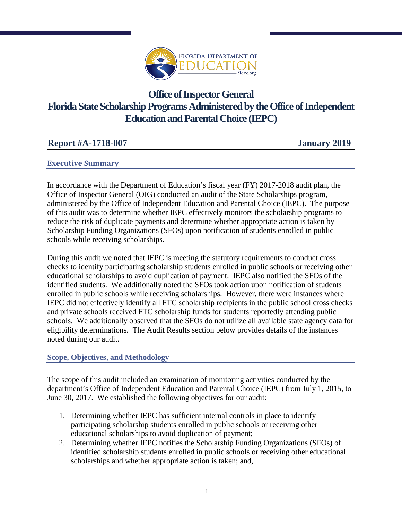

# **Office of Inspector General Florida State Scholarship Programs Administered by the Office of Independent Education and Parental Choice (IEPC)**

# **Executive Summary**

In accordance with the Department of Education's fiscal year (FY) 2017-2018 audit plan, the Office of Inspector General (OIG) conducted an audit of the State Scholarships program, administered by the Office of Independent Education and Parental Choice (IEPC). The purpose of this audit was to determine whether IEPC effectively monitors the scholarship programs to reduce the risk of duplicate payments and determine whether appropriate action is taken by Scholarship Funding Organizations (SFOs) upon notification of students enrolled in public schools while receiving scholarships.

During this audit we noted that IEPC is meeting the statutory requirements to conduct cross checks to identify participating scholarship students enrolled in public schools or receiving other educational scholarships to avoid duplication of payment. IEPC also notified the SFOs of the identified students. We additionally noted the SFOs took action upon notification of students enrolled in public schools while receiving scholarships. However, there were instances where IEPC did not effectively identify all FTC scholarship recipients in the public school cross checks and private schools received FTC scholarship funds for students reportedly attending public schools. We additionally observed that the SFOs do not utilize all available state agency data for eligibility determinations. The Audit Results section below provides details of the instances noted during our audit.

# **Scope, Objectives, and Methodology**

The scope of this audit included an examination of monitoring activities conducted by the department's Office of Independent Education and Parental Choice (IEPC) from July 1, 2015, to June 30, 2017. We established the following objectives for our audit:

- 1. Determining whether IEPC has sufficient internal controls in place to identify participating scholarship students enrolled in public schools or receiving other educational scholarships to avoid duplication of payment;
- 2. Determining whether IEPC notifies the Scholarship Funding Organizations (SFOs) of identified scholarship students enrolled in public schools or receiving other educational scholarships and whether appropriate action is taken; and,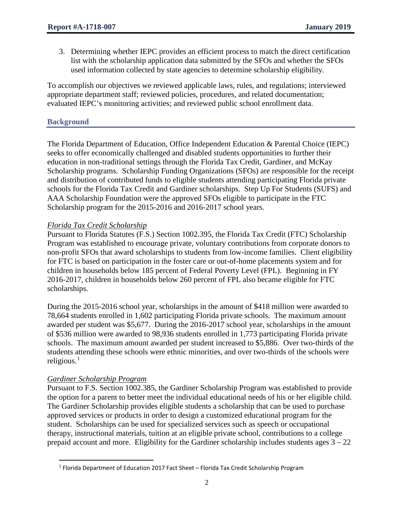3. Determining whether IEPC provides an efficient process to match the direct certification list with the scholarship application data submitted by the SFOs and whether the SFOs used information collected by state agencies to determine scholarship eligibility.

To accomplish our objectives we reviewed applicable laws, rules, and regulations; interviewed appropriate department staff; reviewed policies, procedures, and related documentation; evaluated IEPC's monitoring activities; and reviewed public school enrollment data.

# **Background**

The Florida Department of Education, Office Independent Education & Parental Choice (IEPC) seeks to offer economically challenged and disabled students opportunities to further their education in non-traditional settings through the Florida Tax Credit, Gardiner, and McKay Scholarship programs. Scholarship Funding Organizations (SFOs) are responsible for the receipt and distribution of contributed funds to eligible students attending participating Florida private schools for the Florida Tax Credit and Gardiner scholarships. Step Up For Students (SUFS) and AAA Scholarship Foundation were the approved SFOs eligible to participate in the FTC Scholarship program for the 2015-2016 and 2016-2017 school years.

#### *Florida Tax Credit Scholarship*

Pursuant to Florida Statutes (F.S.) Section 1002.395, the Florida Tax Credit (FTC) Scholarship Program was established to encourage private, voluntary contributions from corporate donors to non-profit SFOs that award scholarships to students from low-income families. Client eligibility for FTC is based on participation in the foster care or out-of-home placements system and for children in households below 185 percent of Federal Poverty Level (FPL). Beginning in FY 2016-2017, children in households below 260 percent of FPL also became eligible for FTC scholarships.

During the 2015-2016 school year, scholarships in the amount of \$418 million were awarded to 78,664 students enrolled in 1,602 participating Florida private schools. The maximum amount awarded per student was \$5,677. During the 2016-2017 school year, scholarships in the amount of \$536 million were awarded to 98,936 students enrolled in 1,773 participating Florida private schools. The maximum amount awarded per student increased to \$5,886. Over two-thirds of the students attending these schools were ethnic minorities, and over two-thirds of the schools were religious. $1$ 

#### *Gardiner Scholarship Program*

l

Pursuant to F.S. Section 1002.385, the Gardiner Scholarship Program was established to provide the option for a parent to better meet the individual educational needs of his or her eligible child. The Gardiner Scholarship provides eligible students a scholarship that can be used to purchase approved services or products in order to design a customized educational program for the student. Scholarships can be used for specialized services such as speech or occupational therapy, instructional materials, tuition at an eligible private school, contributions to a college prepaid account and more. Eligibility for the Gardiner scholarship includes students ages 3 – 22

<span id="page-1-0"></span> $1$  Florida Department of Education 2017 Fact Sheet - Florida Tax Credit Scholarship Program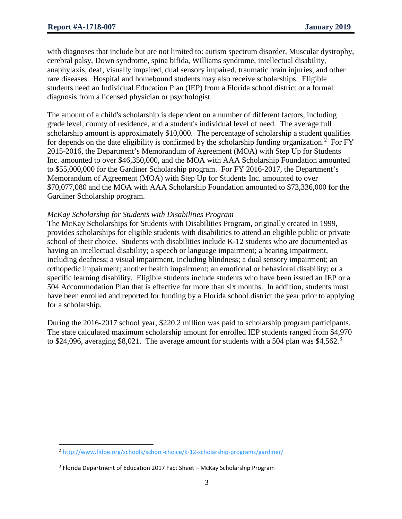l

with diagnoses that include but are not limited to: autism spectrum disorder, Muscular dystrophy, cerebral palsy, Down syndrome, spina bifida, Williams syndrome, intellectual disability, anaphylaxis, deaf, visually impaired, dual sensory impaired, traumatic brain injuries, and other rare diseases. Hospital and homebound students may also receive scholarships. Eligible students need an Individual Education Plan (IEP) from a Florida school district or a formal diagnosis from a licensed physician or psychologist.

The amount of a child's scholarship is dependent on a number of different factors, including grade level, county of residence, and a student's individual level of need. The average full scholarship amount is approximately \$10,000. The percentage of scholarship a student qualifies for depends on the date eligibility is confirmed by the scholarship funding organization.<sup>[2](#page-2-0)</sup> For FY 2015-2016, the Department's Memorandum of Agreement (MOA) with Step Up for Students Inc. amounted to over \$46,350,000, and the MOA with AAA Scholarship Foundation amounted to \$55,000,000 for the Gardiner Scholarship program. For FY 2016-2017, the Department's Memorandum of Agreement (MOA) with Step Up for Students Inc. amounted to over \$70,077,080 and the MOA with AAA Scholarship Foundation amounted to \$73,336,000 for the Gardiner Scholarship program.

# *McKay Scholarship for Students with Disabilities Program*

The McKay Scholarships for Students with Disabilities Program, originally created in 1999, provides scholarships for eligible students with disabilities to attend an eligible public or private school of their choice. Students with disabilities include K-12 students who are documented as having an intellectual disability; a speech or language impairment; a hearing impairment, including deafness; a visual impairment, including blindness; a dual sensory impairment; an orthopedic impairment; another health impairment; an emotional or behavioral disability; or a specific learning disability. Eligible students include students who have been issued an IEP or a 504 Accommodation Plan that is effective for more than six months. In addition, students must have been enrolled and reported for funding by a Florida school district the year prior to applying for a scholarship.

During the 2016-2017 school year, \$220.2 million was paid to scholarship program participants. The state calculated maximum scholarship amount for enrolled IEP students ranged from \$4,970 to \$24,096, averaging \$8,021. The average amount for students with a 504 plan was \$4,562.<sup>[3](#page-2-1)</sup>

<span id="page-2-0"></span><sup>&</sup>lt;sup>2</sup> <http://www.fldoe.org/schools/school-choice/k-12-scholarship-programs/gardiner/>

<span id="page-2-1"></span> $3$  Florida Department of Education 2017 Fact Sheet – McKay Scholarship Program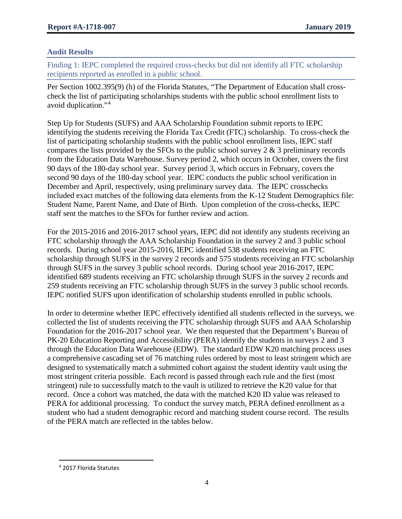# **Audit Results**

Finding 1: IEPC completed the required cross-checks but did not identify all FTC scholarship recipients reported as enrolled in a public school.

Per Section 1002.395(9) (h) of the Florida Statutes, "The Department of Education shall crosscheck the list of participating scholarships students with the public school enrollment lists to avoid duplication."[4](#page-3-0)

Step Up for Students (SUFS) and AAA Scholarship Foundation submit reports to IEPC identifying the students receiving the Florida Tax Credit (FTC) scholarship. To cross-check the list of participating scholarship students with the public school enrollment lists, IEPC staff compares the lists provided by the SFOs to the public school survey  $2 \& 3$  preliminary records from the Education Data Warehouse. Survey period 2, which occurs in October, covers the first 90 days of the 180-day school year. Survey period 3, which occurs in February, covers the second 90 days of the 180-day school year. IEPC conducts the public school verification in December and April, respectively, using preliminary survey data. The IEPC crosschecks included exact matches of the following data elements from the K-12 Student Demographics file: Student Name, Parent Name, and Date of Birth. Upon completion of the cross-checks, IEPC staff sent the matches to the SFOs for further review and action.

For the 2015-2016 and 2016-2017 school years, IEPC did not identify any students receiving an FTC scholarship through the AAA Scholarship Foundation in the survey 2 and 3 public school records. During school year 2015-2016, IEPC identified 538 students receiving an FTC scholarship through SUFS in the survey 2 records and 575 students receiving an FTC scholarship through SUFS in the survey 3 public school records. During school year 2016-2017, IEPC identified 689 students receiving an FTC scholarship through SUFS in the survey 2 records and 259 students receiving an FTC scholarship through SUFS in the survey 3 public school records. IEPC notified SUFS upon identification of scholarship students enrolled in public schools.

In order to determine whether IEPC effectively identified all students reflected in the surveys, we collected the list of students receiving the FTC scholarship through SUFS and AAA Scholarship Foundation for the 2016-2017 school year. We then requested that the Department's Bureau of PK-20 Education Reporting and Accessibility (PERA) identify the students in surveys 2 and 3 through the Education Data Warehouse (EDW). The standard EDW K20 matching process uses a comprehensive cascading set of 76 matching rules ordered by most to least stringent which are designed to systematically match a submitted cohort against the student identity vault using the most stringent criteria possible. Each record is passed through each rule and the first (most stringent) rule to successfully match to the vault is utilized to retrieve the K20 value for that record. Once a cohort was matched, the data with the matched K20 ID value was released to PERA for additional processing. To conduct the survey match, PERA defined enrollment as a student who had a student demographic record and matching student course record. The results of the PERA match are reflected in the tables below.

l

<span id="page-3-0"></span><sup>4</sup> 2017 Florida Statutes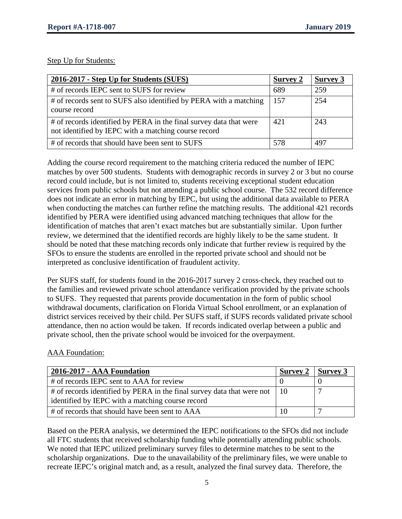Step Up for Students:

| 2016-2017 - Step Up for Students (SUFS)                                                                                    | <b>Survey 2</b> | <b>Survey 3</b> |
|----------------------------------------------------------------------------------------------------------------------------|-----------------|-----------------|
| # of records IEPC sent to SUFS for review                                                                                  | 689             | 259             |
| # of records sent to SUFS also identified by PERA with a matching<br>course record                                         | 157             | 254             |
| # of records identified by PERA in the final survey data that were<br>not identified by IEPC with a matching course record | 42.1            | 243             |
| # of records that should have been sent to SUFS                                                                            | 578             | 497             |

Adding the course record requirement to the matching criteria reduced the number of IEPC matches by over 500 students. Students with demographic records in survey 2 or 3 but no course record could include, but is not limited to, students receiving exceptional student education services from public schools but not attending a public school course. The 532 record difference does not indicate an error in matching by IEPC, but using the additional data available to PERA when conducting the matches can further refine the matching results. The additional 421 records identified by PERA were identified using advanced matching techniques that allow for the identification of matches that aren't exact matches but are substantially similar. Upon further review, we determined that the identified records are highly likely to be the same student. It should be noted that these matching records only indicate that further review is required by the SFOs to ensure the students are enrolled in the reported private school and should not be interpreted as conclusive identification of fraudulent activity.

Per SUFS staff, for students found in the 2016-2017 survey 2 cross-check, they reached out to the families and reviewed private school attendance verification provided by the private schools to SUFS. They requested that parents provide documentation in the form of public school withdrawal documents, clarification on Florida Virtual School enrollment, or an explanation of district services received by their child. Per SUFS staff, if SUFS records validated private school attendance, then no action would be taken. If records indicated overlap between a public and private school, then the private school would be invoiced for the overpayment.

# AAA Foundation:

| 2016-2017 - AAA Foundation                                                                                                      | Survey $2 \mid$ Survey 3 |  |
|---------------------------------------------------------------------------------------------------------------------------------|--------------------------|--|
| # of records IEPC sent to AAA for review                                                                                        |                          |  |
| # of records identified by PERA in the final survey data that were not   10<br>identified by IEPC with a matching course record |                          |  |
| # of records that should have been sent to AAA                                                                                  |                          |  |

Based on the PERA analysis, we determined the IEPC notifications to the SFOs did not include all FTC students that received scholarship funding while potentially attending public schools. We noted that IEPC utilized preliminary survey files to determine matches to be sent to the scholarship organizations. Due to the unavailability of the preliminary files, we were unable to recreate IEPC's original match and, as a result, analyzed the final survey data. Therefore, the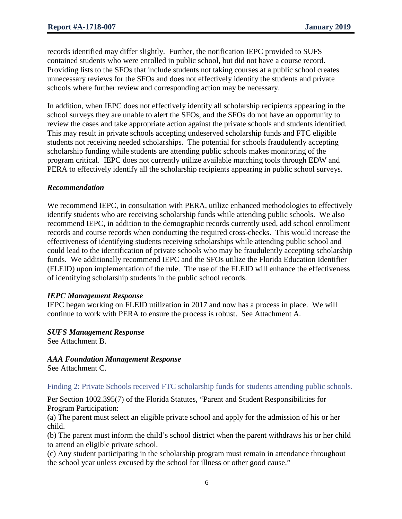records identified may differ slightly. Further, the notification IEPC provided to SUFS contained students who were enrolled in public school, but did not have a course record. Providing lists to the SFOs that include students not taking courses at a public school creates unnecessary reviews for the SFOs and does not effectively identify the students and private schools where further review and corresponding action may be necessary.

In addition, when IEPC does not effectively identify all scholarship recipients appearing in the school surveys they are unable to alert the SFOs, and the SFOs do not have an opportunity to review the cases and take appropriate action against the private schools and students identified. This may result in private schools accepting undeserved scholarship funds and FTC eligible students not receiving needed scholarships. The potential for schools fraudulently accepting scholarship funding while students are attending public schools makes monitoring of the program critical. IEPC does not currently utilize available matching tools through EDW and PERA to effectively identify all the scholarship recipients appearing in public school surveys.

#### *Recommendation*

We recommend IEPC, in consultation with PERA, utilize enhanced methodologies to effectively identify students who are receiving scholarship funds while attending public schools. We also recommend IEPC, in addition to the demographic records currently used, add school enrollment records and course records when conducting the required cross-checks. This would increase the effectiveness of identifying students receiving scholarships while attending public school and could lead to the identification of private schools who may be fraudulently accepting scholarship funds. We additionally recommend IEPC and the SFOs utilize the Florida Education Identifier (FLEID) upon implementation of the rule. The use of the FLEID will enhance the effectiveness of identifying scholarship students in the public school records.

#### *IEPC Management Response*

IEPC began working on FLEID utilization in 2017 and now has a process in place. We will continue to work with PERA to ensure the process is robust. See Attachment A.

# *SUFS Management Response*

See Attachment B.

# *AAA Foundation Management Response*

See Attachment C.

# Finding 2: Private Schools received FTC scholarship funds for students attending public schools.

Per Section 1002.395(7) of the Florida Statutes, "Parent and Student Responsibilities for Program Participation:

(a) The parent must select an eligible private school and apply for the admission of his or her child.

(b) The parent must inform the child's school district when the parent withdraws his or her child to attend an eligible private school.

(c) Any student participating in the scholarship program must remain in attendance throughout the school year unless excused by the school for illness or other good cause."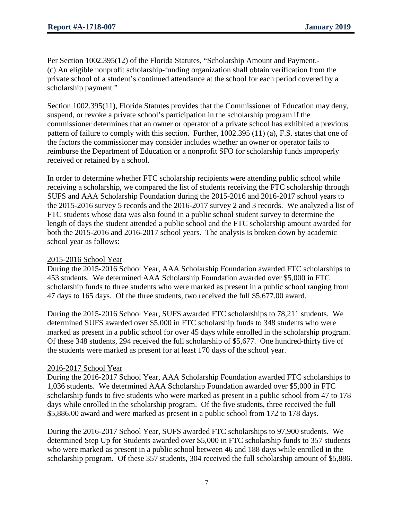Per Section 1002.395(12) of the Florida Statutes, "Scholarship Amount and Payment.- (c) An eligible nonprofit scholarship-funding organization shall obtain verification from the private school of a student's continued attendance at the school for each period covered by a scholarship payment."

Section 1002.395(11), Florida Statutes provides that the Commissioner of Education may deny, suspend, or revoke a private school's participation in the scholarship program if the commissioner determines that an owner or operator of a private school has exhibited a previous pattern of failure to comply with this section. Further, 1002.395 (11) (a), F.S. states that one of the factors the commissioner may consider includes whether an owner or operator fails to reimburse the Department of Education or a nonprofit SFO for scholarship funds improperly received or retained by a school.

In order to determine whether FTC scholarship recipients were attending public school while receiving a scholarship, we compared the list of students receiving the FTC scholarship through SUFS and AAA Scholarship Foundation during the 2015-2016 and 2016-2017 school years to the 2015-2016 survey 5 records and the 2016-2017 survey 2 and 3 records. We analyzed a list of FTC students whose data was also found in a public school student survey to determine the length of days the student attended a public school and the FTC scholarship amount awarded for both the 2015-2016 and 2016-2017 school years. The analysis is broken down by academic school year as follows:

#### 2015-2016 School Year

During the 2015-2016 School Year, AAA Scholarship Foundation awarded FTC scholarships to 453 students. We determined AAA Scholarship Foundation awarded over \$5,000 in FTC scholarship funds to three students who were marked as present in a public school ranging from 47 days to 165 days. Of the three students, two received the full \$5,677.00 award.

During the 2015-2016 School Year, SUFS awarded FTC scholarships to 78,211 students. We determined SUFS awarded over \$5,000 in FTC scholarship funds to 348 students who were marked as present in a public school for over 45 days while enrolled in the scholarship program. Of these 348 students, 294 received the full scholarship of \$5,677. One hundred-thirty five of the students were marked as present for at least 170 days of the school year.

# 2016-2017 School Year

During the 2016-2017 School Year, AAA Scholarship Foundation awarded FTC scholarships to 1,036 students. We determined AAA Scholarship Foundation awarded over \$5,000 in FTC scholarship funds to five students who were marked as present in a public school from 47 to 178 days while enrolled in the scholarship program. Of the five students, three received the full \$5,886.00 award and were marked as present in a public school from 172 to 178 days.

During the 2016-2017 School Year, SUFS awarded FTC scholarships to 97,900 students. We determined Step Up for Students awarded over \$5,000 in FTC scholarship funds to 357 students who were marked as present in a public school between 46 and 188 days while enrolled in the scholarship program. Of these 357 students, 304 received the full scholarship amount of \$5,886.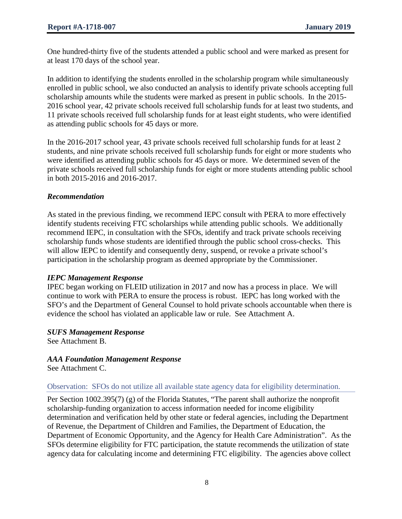One hundred-thirty five of the students attended a public school and were marked as present for at least 170 days of the school year.

In addition to identifying the students enrolled in the scholarship program while simultaneously enrolled in public school, we also conducted an analysis to identify private schools accepting full scholarship amounts while the students were marked as present in public schools. In the 2015- 2016 school year, 42 private schools received full scholarship funds for at least two students, and 11 private schools received full scholarship funds for at least eight students, who were identified as attending public schools for 45 days or more.

In the 2016-2017 school year, 43 private schools received full scholarship funds for at least 2 students, and nine private schools received full scholarship funds for eight or more students who were identified as attending public schools for 45 days or more. We determined seven of the private schools received full scholarship funds for eight or more students attending public school in both 2015-2016 and 2016-2017.

# *Recommendation*

As stated in the previous finding, we recommend IEPC consult with PERA to more effectively identify students receiving FTC scholarships while attending public schools. We additionally recommend IEPC, in consultation with the SFOs, identify and track private schools receiving scholarship funds whose students are identified through the public school cross-checks. This will allow IEPC to identify and consequently deny, suspend, or revoke a private school's participation in the scholarship program as deemed appropriate by the Commissioner.

# *IEPC Management Response*

IPEC began working on FLEID utilization in 2017 and now has a process in place. We will continue to work with PERA to ensure the process is robust. IEPC has long worked with the SFO's and the Department of General Counsel to hold private schools accountable when there is evidence the school has violated an applicable law or rule. See Attachment A.

# *SUFS Management Response*

See Attachment B.

# *AAA Foundation Management Response*

See Attachment C.

# Observation: SFOs do not utilize all available state agency data for eligibility determination.

Per Section 1002.395(7) (g) of the Florida Statutes, "The parent shall authorize the nonprofit scholarship-funding organization to access information needed for income eligibility determination and verification held by other state or federal agencies, including the Department of Revenue, the Department of Children and Families, the Department of Education, the Department of Economic Opportunity, and the Agency for Health Care Administration". As the SFOs determine eligibility for FTC participation, the statute recommends the utilization of state agency data for calculating income and determining FTC eligibility. The agencies above collect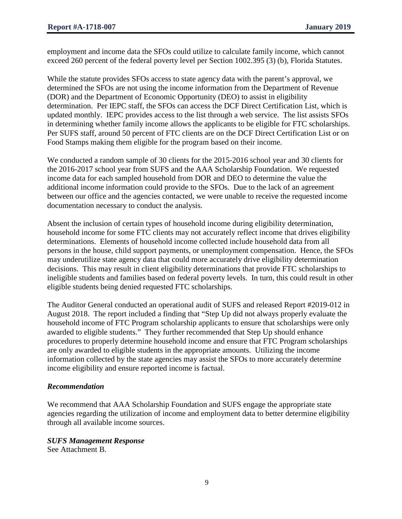employment and income data the SFOs could utilize to calculate family income, which cannot exceed 260 percent of the federal poverty level per Section 1002.395 (3) (b), Florida Statutes.

While the statute provides SFOs access to state agency data with the parent's approval, we determined the SFOs are not using the income information from the Department of Revenue (DOR) and the Department of Economic Opportunity (DEO) to assist in eligibility determination. Per IEPC staff, the SFOs can access the DCF Direct Certification List, which is updated monthly. IEPC provides access to the list through a web service. The list assists SFOs in determining whether family income allows the applicants to be eligible for FTC scholarships. Per SUFS staff, around 50 percent of FTC clients are on the DCF Direct Certification List or on Food Stamps making them eligible for the program based on their income.

We conducted a random sample of 30 clients for the 2015-2016 school year and 30 clients for the 2016-2017 school year from SUFS and the AAA Scholarship Foundation. We requested income data for each sampled household from DOR and DEO to determine the value the additional income information could provide to the SFOs. Due to the lack of an agreement between our office and the agencies contacted, we were unable to receive the requested income documentation necessary to conduct the analysis.

Absent the inclusion of certain types of household income during eligibility determination, household income for some FTC clients may not accurately reflect income that drives eligibility determinations. Elements of household income collected include household data from all persons in the house, child support payments, or unemployment compensation. Hence, the SFOs may underutilize state agency data that could more accurately drive eligibility determination decisions. This may result in client eligibility determinations that provide FTC scholarships to ineligible students and families based on federal poverty levels. In turn, this could result in other eligible students being denied requested FTC scholarships.

The Auditor General conducted an operational audit of SUFS and released Report #2019-012 in August 2018. The report included a finding that "Step Up did not always properly evaluate the household income of FTC Program scholarship applicants to ensure that scholarships were only awarded to eligible students." They further recommended that Step Up should enhance procedures to properly determine household income and ensure that FTC Program scholarships are only awarded to eligible students in the appropriate amounts. Utilizing the income information collected by the state agencies may assist the SFOs to more accurately determine income eligibility and ensure reported income is factual.

# *Recommendation*

We recommend that AAA Scholarship Foundation and SUFS engage the appropriate state agencies regarding the utilization of income and employment data to better determine eligibility through all available income sources.

# *SUFS Management Response*

See Attachment B.